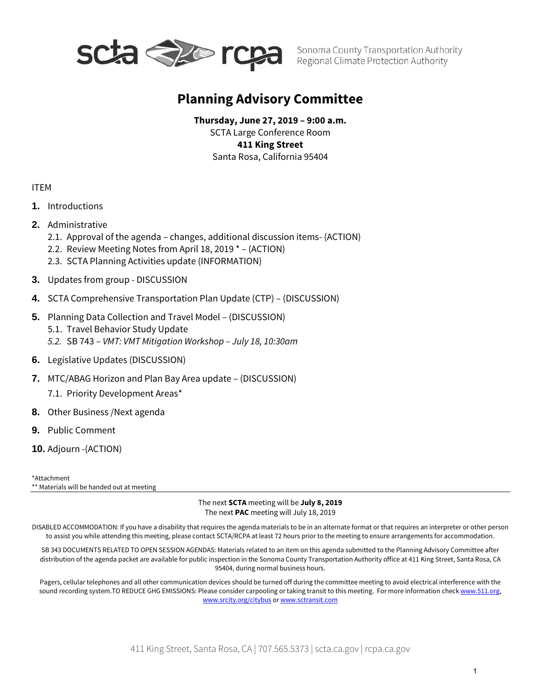

# **Planning Advisory Committee**

**Thursday, June 27, 2019 – 9:00 a.m.** SCTA Large Conference Room **411 King Street** Santa Rosa, California 95404

### ITEM

- **1.** Introductions
- **2.** Administrative
	- 2.1. Approval of the agenda changes, additional discussion items- (ACTION)
	- 2.2. Review Meeting Notes from April 18, 2019 \* (ACTION)
	- 2.3. SCTA Planning Activities update (INFORMATION)
- **3.** Updates from group DISCUSSION
- **4.** SCTA Comprehensive Transportation Plan Update (CTP) (DISCUSSION)
- **5.** Planning Data Collection and Travel Model (DISCUSSION) 5.1. Travel Behavior Study Update *5.2.* SB 743 – *VMT: VMT Mitigation Workshop – July 18, 10:30am*
- **6.** Legislative Updates (DISCUSSION)
- **7.** MTC/ABAG Horizon and Plan Bay Area update (DISCUSSION) 7.1. Priority Development Areas\*
- **8.** Other Business /Next agenda
- **9.** Public Comment
- **10.** Adjourn -(ACTION)

\*Attachment \*\* Materials will be handed out at meeting

> The next **SCTA** meeting will be **July 8, 2019** The next **PAC** meeting will July 18, 2019

DISABLED ACCOMMODATION: If you have a disability that requires the agenda materials to be in an alternate format or that requires an interpreter or other person to assist you while attending this meeting, please contact SCTA/RCPA at least 72 hours prior to the meeting to ensure arrangements for accommodation.

SB 343 DOCUMENTS RELATED TO OPEN SESSION AGENDAS: Materials related to an item on this agenda submitted to the Planning Advisory Committee after distribution of the agenda packet are available for public inspection in the Sonoma County Transportation Authority office at 411 King Street, Santa Rosa, CA 95404, during normal business hours.

Pagers, cellular telephones and all other communication devices should be turned off during the committee meeting to avoid electrical interference with the sound recording system.TO REDUCE GHG EMISSIONS: Please consider carpooling or taking transit to this meeting. For more information check www.511.org, [www.srcity.org/citybus](http://www.srcity.org/citybus) or [www.sctransit.com](http://www.sctransit.com/)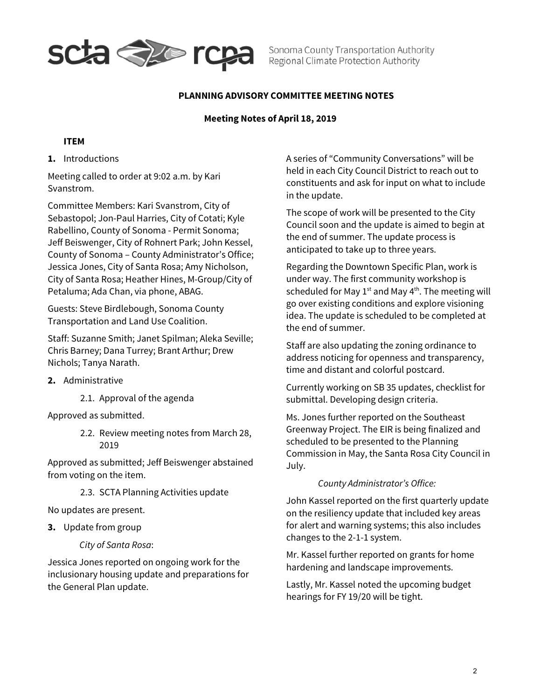

Sonoma County Transportation Authority Regional Climate Protection Authority

### **PLANNING ADVISORY COMMITTEE MEETING NOTES**

### **Meeting Notes of April 18, 2019**

### **ITEM**

**1.** Introductions

Meeting called to order at 9:02 a.m. by Kari Svanstrom.

Committee Members: Kari Svanstrom, City of Sebastopol; Jon-Paul Harries, City of Cotati; Kyle Rabellino, County of Sonoma - Permit Sonoma; Jeff Beiswenger, City of Rohnert Park; John Kessel, County of Sonoma – County Administrator's Office; Jessica Jones, City of Santa Rosa; Amy Nicholson, City of Santa Rosa; Heather Hines, M-Group/City of Petaluma; Ada Chan, via phone, ABAG.

Guests: Steve Birdlebough, Sonoma County Transportation and Land Use Coalition.

Staff: Suzanne Smith; Janet Spilman; Aleka Seville; Chris Barney; Dana Turrey; Brant Arthur; Drew Nichols; Tanya Narath.

- **2.** Administrative
	- 2.1. Approval of the agenda

Approved as submitted.

2.2. Review meeting notes from March 28, 2019

Approved as submitted; Jeff Beiswenger abstained from voting on the item.

2.3. SCTA Planning Activities update

No updates are present.

**3.** Update from group

#### *City of Santa Rosa*:

Jessica Jones reported on ongoing work for the inclusionary housing update and preparations for the General Plan update.

A series of "Community Conversations" will be held in each City Council District to reach out to constituents and ask for input on what to include in the update.

The scope of work will be presented to the City Council soon and the update is aimed to begin at the end of summer. The update process is anticipated to take up to three years.

Regarding the Downtown Specific Plan, work is under way. The first community workshop is scheduled for May  $1<sup>st</sup>$  and May  $4<sup>th</sup>$ . The meeting will go over existing conditions and explore visioning idea. The update is scheduled to be completed at the end of summer.

Staff are also updating the zoning ordinance to address noticing for openness and transparency, time and distant and colorful postcard.

Currently working on SB 35 updates, checklist for submittal. Developing design criteria.

Ms. Jones further reported on the Southeast Greenway Project. The EIR is being finalized and scheduled to be presented to the Planning Commission in May, the Santa Rosa City Council in July.

*County Administrator's Office:* 

John Kassel reported on the first quarterly update on the resiliency update that included key areas for alert and warning systems; this also includes changes to the 2-1-1 system.

Mr. Kassel further reported on grants for home hardening and landscape improvements.

Lastly, Mr. Kassel noted the upcoming budget hearings for FY 19/20 will be tight.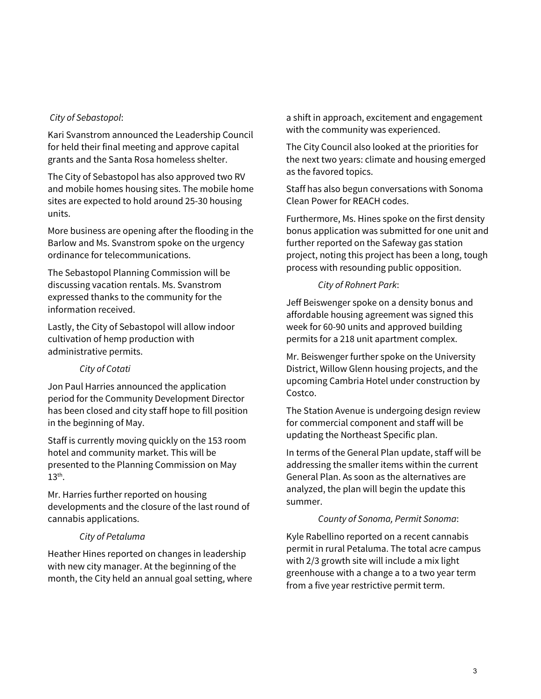### *City of Sebastopol*:

Kari Svanstrom announced the Leadership Council for held their final meeting and approve capital grants and the Santa Rosa homeless shelter.

The City of Sebastopol has also approved two RV and mobile homes housing sites. The mobile home sites are expected to hold around 25-30 housing units.

More business are opening after the flooding in the Barlow and Ms. Svanstrom spoke on the urgency ordinance for telecommunications.

The Sebastopol Planning Commission will be discussing vacation rentals. Ms. Svanstrom expressed thanks to the community for the information received.

Lastly, the City of Sebastopol will allow indoor cultivation of hemp production with administrative permits.

## *City of Cotati*

Jon Paul Harries announced the application period for the Community Development Director has been closed and city staff hope to fill position in the beginning of May.

Staff is currently moving quickly on the 153 room hotel and community market. This will be presented to the Planning Commission on May  $13<sup>th</sup>$ .

Mr. Harries further reported on housing developments and the closure of the last round of cannabis applications.

### *City of Petaluma*

Heather Hines reported on changes in leadership with new city manager. At the beginning of the month, the City held an annual goal setting, where a shift in approach, excitement and engagement with the community was experienced.

The City Council also looked at the priorities for the next two years: climate and housing emerged as the favored topics.

Staff has also begun conversations with Sonoma Clean Power for REACH codes.

Furthermore, Ms. Hines spoke on the first density bonus application was submitted for one unit and further reported on the Safeway gas station project, noting this project has been a long, tough process with resounding public opposition.

### *City of Rohnert Park*:

Jeff Beiswenger spoke on a density bonus and affordable housing agreement was signed this week for 60-90 units and approved building permits for a 218 unit apartment complex.

Mr. Beiswenger further spoke on the University District, Willow Glenn housing projects, and the upcoming Cambria Hotel under construction by Costco.

The Station Avenue is undergoing design review for commercial component and staff will be updating the Northeast Specific plan.

In terms of the General Plan update, staff will be addressing the smaller items within the current General Plan. As soon as the alternatives are analyzed, the plan will begin the update this summer.

#### *County of Sonoma, Permit Sonoma*:

Kyle Rabellino reported on a recent cannabis permit in rural Petaluma. The total acre campus with 2/3 growth site will include a mix light greenhouse with a change a to a two year term from a five year restrictive permit term.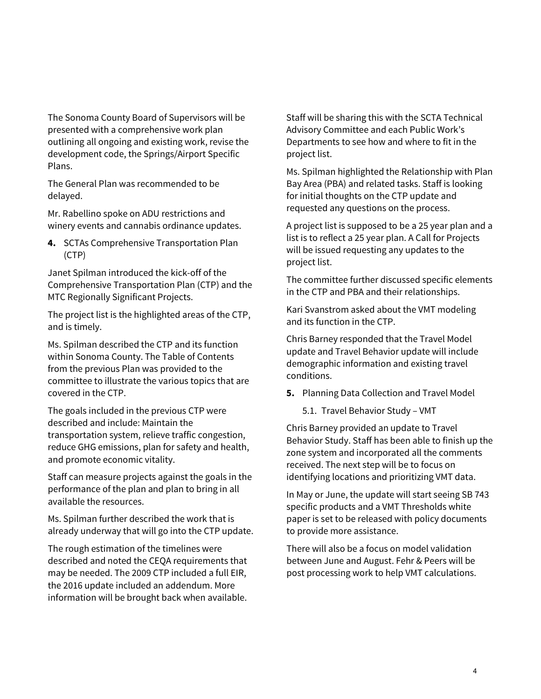The Sonoma County Board of Supervisors will be presented with a comprehensive work plan outlining all ongoing and existing work, revise the development code, the Springs/Airport Specific Plans.

The General Plan was recommended to be delayed.

Mr. Rabellino spoke on ADU restrictions and winery events and cannabis ordinance updates.

**4.** SCTAs Comprehensive Transportation Plan (CTP)

Janet Spilman introduced the kick-off of the Comprehensive Transportation Plan (CTP) and the MTC Regionally Significant Projects.

The project list is the highlighted areas of the CTP, and is timely.

Ms. Spilman described the CTP and its function within Sonoma County. The Table of Contents from the previous Plan was provided to the committee to illustrate the various topics that are covered in the CTP.

The goals included in the previous CTP were described and include: Maintain the transportation system, relieve traffic congestion, reduce GHG emissions, plan for safety and health, and promote economic vitality.

Staff can measure projects against the goals in the performance of the plan and plan to bring in all available the resources.

Ms. Spilman further described the work that is already underway that will go into the CTP update.

The rough estimation of the timelines were described and noted the CEQA requirements that may be needed. The 2009 CTP included a full EIR, the 2016 update included an addendum. More information will be brought back when available. Staff will be sharing this with the SCTA Technical Advisory Committee and each Public Work's Departments to see how and where to fit in the project list.

Ms. Spilman highlighted the Relationship with Plan Bay Area (PBA) and related tasks. Staff is looking for initial thoughts on the CTP update and requested any questions on the process.

A project list is supposed to be a 25 year plan and a list is to reflect a 25 year plan. A Call for Projects will be issued requesting any updates to the project list.

The committee further discussed specific elements in the CTP and PBA and their relationships.

Kari Svanstrom asked about the VMT modeling and its function in the CTP.

Chris Barney responded that the Travel Model update and Travel Behavior update will include demographic information and existing travel conditions.

- **5.** Planning Data Collection and Travel Model
	- 5.1. Travel Behavior Study VMT

Chris Barney provided an update to Travel Behavior Study. Staff has been able to finish up the zone system and incorporated all the comments received. The next step will be to focus on identifying locations and prioritizing VMT data.

In May or June, the update will start seeing SB 743 specific products and a VMT Thresholds white paper is set to be released with policy documents to provide more assistance.

There will also be a focus on model validation between June and August. Fehr & Peers will be post processing work to help VMT calculations.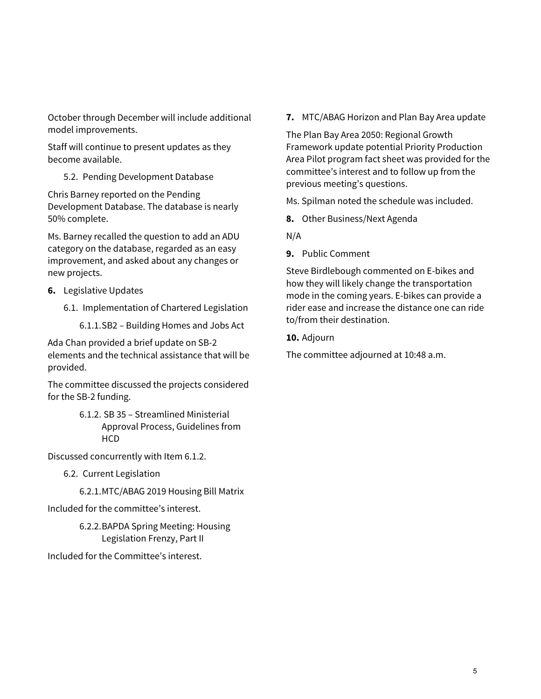October through December will include additional model improvements.

Staff will continue to present updates as they become available.

# 5.2. Pending Development Database

Chris Barney reported on the Pending Development Database. The database is nearly 50% complete.

Ms. Barney recalled the question to add an ADU category on the database, regarded as an easy improvement, and asked about any changes or new projects.

- **6.** Legislative Updates
	- 6.1. Implementation of Chartered Legislation

6.1.1.SB2 – Building Homes and Jobs Act

Ada Chan provided a brief update on SB-2 elements and the technical assistance that will be provided.

The committee discussed the projects considered for the SB-2 funding.

> 6.1.2. SB 35 – Streamlined Ministerial Approval Process, Guidelines from **HCD**

Discussed concurrently with Item 6.1.2.

- 6.2. Current Legislation
	- 6.2.1.MTC/ABAG 2019 Housing Bill Matrix

Included for the committee's interest.

6.2.2.BAPDA Spring Meeting: Housing Legislation Frenzy, Part II

Included for the Committee's interest.

**7.** MTC/ABAG Horizon and Plan Bay Area update

The Plan Bay Area 2050: Regional Growth Framework update potential Priority Production Area Pilot program fact sheet was provided for the committee's interest and to follow up from the previous meeting's questions.

Ms. Spilman noted the schedule was included.

- **8.** Other Business/Next Agenda
- N/A
- **9.** Public Comment

Steve Birdlebough commented on E-bikes and how they will likely change the transportation mode in the coming years. E-bikes can provide a rider ease and increase the distance one can ride to/from their destination.

## **10.** Adjourn

The committee adjourned at 10:48 a.m.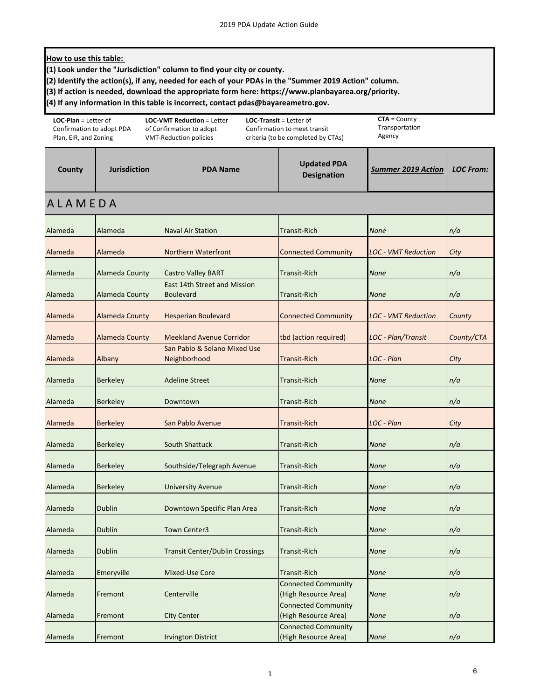#### **How to use this table:**

**(1) Look under the "Jurisdiction" column to find your city or county.** 

**(2) Identify the action(s), if any, needed for each of your PDAs in the "Summer 2019 Action" column.**

**(3) If action is needed, download the appropriate form here: https://www.planbayarea.org/priority.** 

**(4) If any information in this table is incorrect, contact pdas@bayareametro.gov.**

| <b>LOC-Plan</b> = Letter of<br>Confirmation to adopt PDA<br>Plan, EIR, and Zoning |                       | <b>LOC-VMT Reduction = Letter</b><br>of Confirmation to adopt<br><b>VMT-Reduction policies</b> | <b>LOC-Transit = Letter of</b><br>Confirmation to meet transit<br>criteria (to be completed by CTAs) | $CTA = County$<br>Transportation<br>Agency |                  |
|-----------------------------------------------------------------------------------|-----------------------|------------------------------------------------------------------------------------------------|------------------------------------------------------------------------------------------------------|--------------------------------------------|------------------|
| County                                                                            | <b>Jurisdiction</b>   | <b>PDA Name</b>                                                                                | <b>Updated PDA</b><br><b>Designation</b>                                                             | <b>Summer 2019 Action</b>                  | <b>LOC From:</b> |
| <b>ALAMEDA</b>                                                                    |                       |                                                                                                |                                                                                                      |                                            |                  |
| Alameda                                                                           | Alameda               | <b>Naval Air Station</b>                                                                       | <b>Transit-Rich</b>                                                                                  | <b>None</b>                                | n/a              |
| Alameda                                                                           | Alameda               | <b>Northern Waterfront</b>                                                                     | <b>Connected Community</b>                                                                           | <b>LOC - VMT Reduction</b>                 | City             |
| Alameda                                                                           | Alameda County        | <b>Castro Valley BART</b>                                                                      | <b>Transit-Rich</b>                                                                                  | <b>None</b>                                | n/a              |
| Alameda                                                                           | <b>Alameda County</b> | <b>East 14th Street and Mission</b><br><b>Boulevard</b>                                        | <b>Transit-Rich</b>                                                                                  | <b>None</b>                                | n/a              |
| Alameda                                                                           | <b>Alameda County</b> | <b>Hesperian Boulevard</b>                                                                     | <b>Connected Community</b>                                                                           | <b>LOC - VMT Reduction</b>                 | County           |
| Alameda                                                                           | <b>Alameda County</b> | <b>Meekland Avenue Corridor</b>                                                                | tbd (action required)                                                                                | LOC - Plan/Transit                         | County/CTA       |
| Alameda                                                                           | Albany                | San Pablo & Solano Mixed Use<br>Neighborhood                                                   | <b>Transit-Rich</b>                                                                                  | LOC - Plan                                 | City             |
| Alameda                                                                           | <b>Berkeley</b>       | <b>Adeline Street</b>                                                                          | <b>Transit-Rich</b>                                                                                  | <b>None</b>                                | n/a              |
| Alameda                                                                           | <b>Berkeley</b>       | Downtown                                                                                       | <b>Transit-Rich</b>                                                                                  | <b>None</b>                                | n/a              |
| Alameda                                                                           | <b>Berkeley</b>       | San Pablo Avenue                                                                               | <b>Transit-Rich</b>                                                                                  | LOC - Plan                                 | City             |
| Alameda                                                                           | <b>Berkeley</b>       | <b>South Shattuck</b>                                                                          | <b>Transit-Rich</b>                                                                                  | <b>None</b>                                | n/a              |
| Alameda                                                                           | <b>Berkeley</b>       | Southside/Telegraph Avenue                                                                     | <b>Transit-Rich</b>                                                                                  | <b>None</b>                                | n/a              |
| Alameda                                                                           | <b>Berkeley</b>       | <b>University Avenue</b>                                                                       | <b>Transit-Rich</b>                                                                                  | <b>None</b>                                | n/a              |
| Alameda                                                                           | <b>Dublin</b>         | Downtown Specific Plan Area                                                                    | <b>Transit-Rich</b>                                                                                  | <b>None</b>                                | n/a              |
| Alameda                                                                           | <b>Dublin</b>         | <b>Town Center3</b>                                                                            | <b>Transit-Rich</b>                                                                                  | <b>None</b>                                | n/a              |
| Alameda                                                                           | <b>Dublin</b>         | <b>Transit Center/Dublin Crossings</b>                                                         | <b>Transit-Rich</b>                                                                                  | <b>None</b>                                | n/a              |
| Alameda                                                                           | Emeryville            | Mixed-Use Core                                                                                 | <b>Transit-Rich</b>                                                                                  | <b>None</b>                                | n/a              |
| Alameda                                                                           | Fremont               | Centerville                                                                                    | <b>Connected Community</b><br>(High Resource Area)                                                   | <b>None</b>                                | n/a              |
| Alameda                                                                           | Fremont               | <b>City Center</b>                                                                             | <b>Connected Community</b><br>(High Resource Area)                                                   | <b>None</b>                                | n/a              |
| Alameda                                                                           | Fremont               | <b>Irvington District</b>                                                                      | <b>Connected Community</b><br>(High Resource Area)                                                   | <b>None</b>                                | n/a              |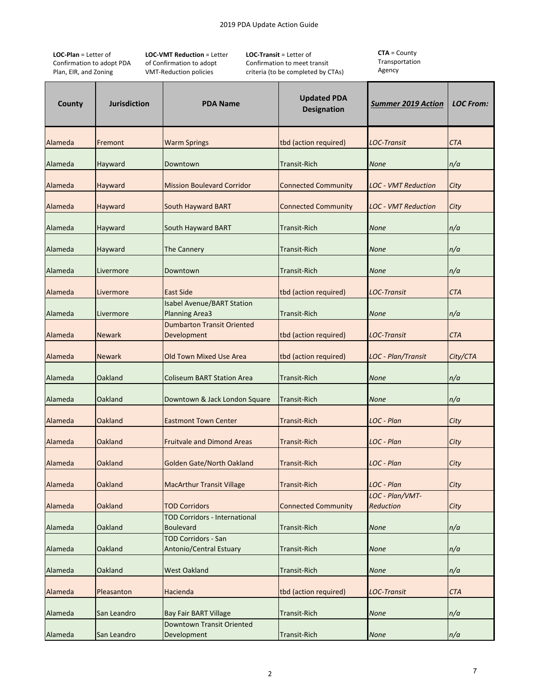**LOC‐Plan** = Letter of Confirmation to adopt PDA Plan, EIR, and Zoning

**LOC‐VMT Reduction** = Letter of Confirmation to adopt VMT‐Reduction policies

**LOC‐Transit** = Letter of Confirmation to meet transit criteria (to be completed by CTAs)

| County  | <b>Jurisdiction</b> | <b>PDA Name</b>                                            | <b>Updated PDA</b><br><b>Designation</b> | <b>Summer 2019 Action</b>    | <b>LOC From:</b> |
|---------|---------------------|------------------------------------------------------------|------------------------------------------|------------------------------|------------------|
| Alameda | Fremont             | <b>Warm Springs</b>                                        | tbd (action required)                    | <b>LOC-Transit</b>           | <b>CTA</b>       |
| Alameda | Hayward             | Downtown                                                   | <b>Transit-Rich</b>                      | <b>None</b>                  | n/a              |
| Alameda | Hayward             | <b>Mission Boulevard Corridor</b>                          | <b>Connected Community</b>               | <b>LOC - VMT Reduction</b>   | City             |
| Alameda | Hayward             | <b>South Hayward BART</b>                                  | <b>Connected Community</b>               | <b>LOC - VMT Reduction</b>   | City             |
| Alameda | Hayward             | South Hayward BART                                         | <b>Transit-Rich</b>                      | <b>None</b>                  | n/a              |
| Alameda | Hayward             | <b>The Cannery</b>                                         | <b>Transit-Rich</b>                      | <b>None</b>                  | n/a              |
| Alameda | Livermore           | Downtown                                                   | <b>Transit-Rich</b>                      | <b>None</b>                  | n/a              |
| Alameda | Livermore           | <b>East Side</b>                                           | tbd (action required)                    | LOC-Transit                  | <b>CTA</b>       |
| Alameda | Livermore           | <b>Isabel Avenue/BART Station</b><br><b>Planning Area3</b> | <b>Transit-Rich</b>                      | None                         | n/a              |
| Alameda | <b>Newark</b>       | <b>Dumbarton Transit Oriented</b><br>Development           | tbd (action required)                    | <b>LOC-Transit</b>           | CTA              |
| Alameda | Newark              | <b>Old Town Mixed Use Area</b>                             | tbd (action required)                    | LOC - Plan/Transit           | City/CTA         |
| Alameda | Oakland             | <b>Coliseum BART Station Area</b>                          | <b>Transit-Rich</b>                      | <b>None</b>                  | n/a              |
| Alameda | Oakland             | Downtown & Jack London Square                              | <b>Transit-Rich</b>                      | None                         | n/a              |
| Alameda | <b>Oakland</b>      | <b>Eastmont Town Center</b>                                | <b>Transit-Rich</b>                      | LOC - Plan                   | City             |
| Alameda | Oakland             | <b>Fruitvale and Dimond Areas</b>                          | <b>Transit-Rich</b>                      | LOC - Plan                   | City             |
| Alameda | Oakland             | <b>Golden Gate/North Oakland</b>                           | <b>Transit-Rich</b>                      | LOC - Plan                   | City             |
| Alameda | <b>Oakland</b>      | <b>MacArthur Transit Village</b>                           | <b>Transit-Rich</b>                      | LOC - Plan                   | City             |
| Alameda | Oakland             | <b>TOD Corridors</b>                                       | <b>Connected Community</b>               | LOC - Plan/VMT-<br>Reduction | City             |
| Alameda | Oakland             | <b>TOD Corridors - International</b><br><b>Boulevard</b>   | <b>Transit-Rich</b>                      | <b>None</b>                  | n/a              |
| Alameda | Oakland             | <b>TOD Corridors - San</b><br>Antonio/Central Estuary      | <b>Transit-Rich</b>                      | <b>None</b>                  | n/a              |
| Alameda | Oakland             | <b>West Oakland</b>                                        | <b>Transit-Rich</b>                      | <b>None</b>                  | n/a              |
| Alameda | Pleasanton          | Hacienda                                                   | tbd (action required)                    | <b>LOC-Transit</b>           | <b>CTA</b>       |
| Alameda | San Leandro         | <b>Bay Fair BART Village</b>                               | <b>Transit-Rich</b>                      | <b>None</b>                  | n/a              |
| Alameda | San Leandro         | Downtown Transit Oriented<br>Development                   | <b>Transit-Rich</b>                      | <b>None</b>                  | n/a              |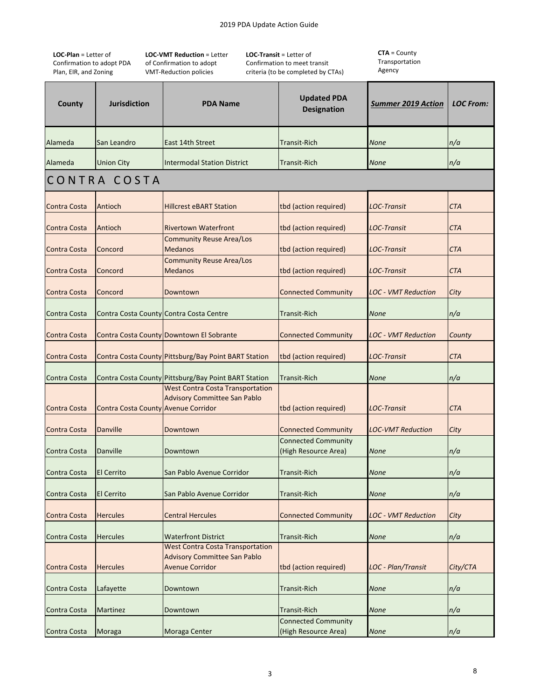**LOC‐Plan** = Letter of Confirmation to adopt PDA Plan, EIR, and Zoning

**LOC‐VMT Reduction** = Letter of Confirmation to adopt VMT‐Reduction policies

**LOC‐Transit** = Letter of Confirmation to meet transit criteria (to be completed by CTAs)

| County              | <b>Jurisdiction</b>                        | <b>PDA Name</b>                                                                                          | <b>Updated PDA</b><br><b>Designation</b>           | <u>Summer 2019 Action</u>  | <b>LOC From:</b> |
|---------------------|--------------------------------------------|----------------------------------------------------------------------------------------------------------|----------------------------------------------------|----------------------------|------------------|
| Alameda             | San Leandro                                | East 14th Street                                                                                         | <b>Transit-Rich</b>                                | <b>None</b>                | n/a              |
| Alameda             | <b>Union City</b>                          | <b>Intermodal Station District</b>                                                                       | <b>Transit-Rich</b>                                | <b>None</b>                | n/a              |
|                     | CONTRA COSTA                               |                                                                                                          |                                                    |                            |                  |
| <b>Contra Costa</b> | Antioch                                    | <b>Hillcrest eBART Station</b>                                                                           | tbd (action required)                              | <b>LOC-Transit</b>         | <b>CTA</b>       |
| <b>Contra Costa</b> | Antioch                                    | <b>Rivertown Waterfront</b>                                                                              | tbd (action required)                              | <b>LOC-Transit</b>         | <b>CTA</b>       |
| <b>Contra Costa</b> | Concord                                    | <b>Community Reuse Area/Los</b><br><b>Medanos</b>                                                        | tbd (action required)                              | <b>LOC-Transit</b>         | <b>CTA</b>       |
| <b>Contra Costa</b> | Concord                                    | <b>Community Reuse Area/Los</b><br><b>Medanos</b>                                                        | tbd (action required)                              | <b>LOC-Transit</b>         | <b>CTA</b>       |
| Contra Costa        | Concord                                    | Downtown                                                                                                 | <b>Connected Community</b>                         | <b>LOC - VMT Reduction</b> | City             |
| Contra Costa        |                                            | Contra Costa County Contra Costa Centre                                                                  | <b>Transit-Rich</b>                                | <b>None</b>                | n/a              |
| <b>Contra Costa</b> |                                            | Contra Costa County Downtown El Sobrante                                                                 | <b>Connected Community</b>                         | <b>LOC - VMT Reduction</b> | County           |
| <b>Contra Costa</b> |                                            | Contra Costa County Pittsburg/Bay Point BART Station                                                     | tbd (action required)                              | <b>LOC-Transit</b>         | <b>CTA</b>       |
| Contra Costa        |                                            | Contra Costa County Pittsburg/Bay Point BART Station                                                     | <b>Transit-Rich</b>                                | <b>None</b>                | n/a              |
| <b>Contra Costa</b> | <b>Contra Costa County Avenue Corridor</b> | <b>West Contra Costa Transportation</b><br><b>Advisory Committee San Pablo</b>                           | tbd (action required)                              | <b>LOC-Transit</b>         | <b>CTA</b>       |
| Contra Costa        | Danville                                   | Downtown                                                                                                 | <b>Connected Community</b>                         | <b>LOC-VMT Reduction</b>   | City             |
| Contra Costa        | Danville                                   | Downtown                                                                                                 | <b>Connected Community</b><br>(High Resource Area) | <b>None</b>                | n/a              |
| Contra Costa        | <b>El Cerrito</b>                          | San Pablo Avenue Corridor                                                                                | <b>Transit-Rich</b>                                | <b>None</b>                | n/a              |
| Contra Costa        | El Cerrito                                 | San Pablo Avenue Corridor                                                                                | <b>Transit-Rich</b>                                | <b>None</b>                | n/a              |
| <b>Contra Costa</b> | <b>Hercules</b>                            | <b>Central Hercules</b>                                                                                  | <b>Connected Community</b>                         | LOC - VMT Reduction        | City             |
| Contra Costa        | <b>Hercules</b>                            | <b>Waterfront District</b>                                                                               | <b>Transit-Rich</b>                                | <b>None</b>                | n/a              |
| <b>Contra Costa</b> | <b>Hercules</b>                            | <b>West Contra Costa Transportation</b><br><b>Advisory Committee San Pablo</b><br><b>Avenue Corridor</b> | tbd (action required)                              | LOC - Plan/Transit         | City/CTA         |
| Contra Costa        | Lafayette                                  | Downtown                                                                                                 | <b>Transit-Rich</b>                                | None                       | n/a              |
| Contra Costa        | Martinez                                   | Downtown                                                                                                 | <b>Transit-Rich</b>                                | <b>None</b>                | n/a              |
| Contra Costa        | Moraga                                     | Moraga Center                                                                                            | <b>Connected Community</b><br>(High Resource Area) | <b>None</b>                | n/a              |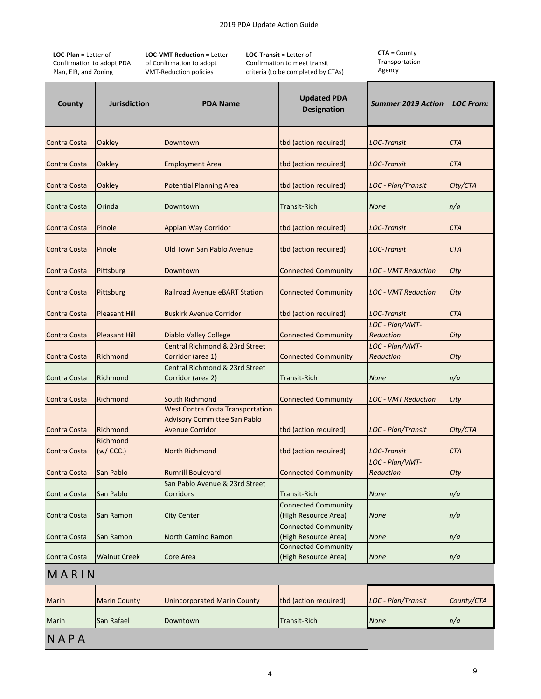**LOC‐Plan** = Letter of Confirmation to adopt PDA Plan, EIR, and Zoning

**LOC‐VMT Reduction** = Letter of Confirmation to adopt VMT‐Reduction policies

**LOC‐Transit** = Letter of Confirmation to meet transit criteria (to be completed by CTAs) **CTA** = County Transportation Agency

| County              | <b>Jurisdiction</b>   | <b>PDA Name</b>                                                                                          | <b>Updated PDA</b><br><b>Designation</b>           | <b>Summer 2019 Action</b>    | <b>LOC From:</b> |
|---------------------|-----------------------|----------------------------------------------------------------------------------------------------------|----------------------------------------------------|------------------------------|------------------|
| <b>Contra Costa</b> | Oakley                | Downtown                                                                                                 | tbd (action required)                              | LOC-Transit                  | CTA              |
| <b>Contra Costa</b> | <b>Oakley</b>         | <b>Employment Area</b>                                                                                   | tbd (action required)                              | <b>LOC-Transit</b>           | CTA              |
| <b>Contra Costa</b> | <b>Oakley</b>         | <b>Potential Planning Area</b>                                                                           | tbd (action required)                              | LOC - Plan/Transit           | City/CTA         |
| Contra Costa        | Orinda                | Downtown                                                                                                 | <b>Transit-Rich</b>                                | <b>None</b>                  | n/a              |
| <b>Contra Costa</b> | Pinole                | <b>Appian Way Corridor</b>                                                                               | tbd (action required)                              | LOC-Transit                  | CTA              |
| <b>Contra Costa</b> | Pinole                | Old Town San Pablo Avenue                                                                                | tbd (action required)                              | <b>LOC-Transit</b>           | CTA              |
| <b>Contra Costa</b> | Pittsburg             | Downtown                                                                                                 | <b>Connected Community</b>                         | <b>LOC - VMT Reduction</b>   | City             |
| <b>Contra Costa</b> | Pittsburg             | <b>Railroad Avenue eBART Station</b>                                                                     | <b>Connected Community</b>                         | <b>LOC - VMT Reduction</b>   | City             |
| <b>Contra Costa</b> | <b>Pleasant Hill</b>  | <b>Buskirk Avenue Corridor</b>                                                                           | tbd (action required)                              | <b>LOC-Transit</b>           | СТА              |
| <b>Contra Costa</b> | <b>Pleasant Hill</b>  | <b>Diablo Valley College</b>                                                                             | <b>Connected Community</b>                         | LOC - Plan/VMT-<br>Reduction | City             |
| <b>Contra Costa</b> | Richmond              | Central Richmond & 23rd Street<br>Corridor (area 1)                                                      | <b>Connected Community</b>                         | LOC - Plan/VMT-<br>Reduction | City             |
| Contra Costa        | Richmond              | Central Richmond & 23rd Street<br>Corridor (area 2)                                                      | <b>Transit-Rich</b>                                | <b>None</b>                  | n/a              |
| <b>Contra Costa</b> | Richmond              | South Richmond                                                                                           | <b>Connected Community</b>                         | <b>LOC - VMT Reduction</b>   | City             |
| <b>Contra Costa</b> | Richmond              | <b>West Contra Costa Transportation</b><br><b>Advisory Committee San Pablo</b><br><b>Avenue Corridor</b> | tbd (action required)                              | <b>LOC</b> - Plan/Transit    | City/CTA         |
| <b>Contra Costa</b> | Richmond<br>(w / CC.) | North Richmond                                                                                           | tbd (action required)                              | <b>LOC-Transit</b>           | <b>CTA</b>       |
| Contra Costa        | San Pablo             | <b>Rumrill Boulevard</b>                                                                                 | <b>Connected Community</b>                         | LOC - Plan/VMT-<br>Reduction | City             |
| Contra Costa        | San Pablo             | San Pablo Avenue & 23rd Street<br>Corridors                                                              | <b>Transit-Rich</b>                                | <b>None</b>                  | n/a              |
| Contra Costa        | San Ramon             | <b>City Center</b>                                                                                       | <b>Connected Community</b><br>(High Resource Area) | <b>None</b>                  | n/a              |
| Contra Costa        | San Ramon             | North Camino Ramon                                                                                       | <b>Connected Community</b><br>(High Resource Area) | <b>None</b>                  | n/a              |
| <b>Contra Costa</b> | <b>Walnut Creek</b>   | Core Area                                                                                                | <b>Connected Community</b><br>(High Resource Area) | <b>None</b>                  | n/a              |
| MARIN               |                       |                                                                                                          |                                                    |                              |                  |
| <b>Marin</b>        | <b>Marin County</b>   | <b>Unincorporated Marin County</b>                                                                       | tbd (action required)                              | LOC - Plan/Transit           | County/CTA       |

Marin San Rafael Downtown Transit‐Rich *None n/a*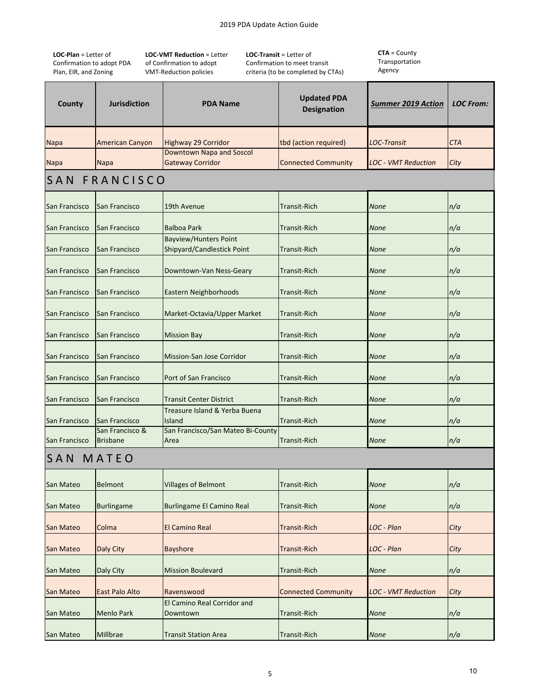**LOC‐Plan** = Letter of Confirmation to adopt PDA Plan, EIR, and Zoning

**LOC‐VMT Reduction** = Letter of Confirmation to adopt VMT‐Reduction policies

**LOC‐Transit** = Letter of Confirmation to meet transit criteria (to be completed by CTAs)

| County        | <b>Jurisdiction</b>                | <b>PDA Name</b>                                            | <b>Updated PDA</b><br><b>Designation</b> | <b>Summer 2019 Action</b>  | <b>LOC From:</b> |
|---------------|------------------------------------|------------------------------------------------------------|------------------------------------------|----------------------------|------------------|
| Napa          | <b>American Canyon</b>             | <b>Highway 29 Corridor</b>                                 | tbd (action required)                    | LOC-Transit                | CTA              |
| Napa          | Napa                               | <b>Downtown Napa and Soscol</b><br><b>Gateway Corridor</b> | <b>Connected Community</b>               | <b>LOC - VMT Reduction</b> | City             |
|               | SAN FRANCISCO                      |                                                            |                                          |                            |                  |
| San Francisco | San Francisco                      | 19th Avenue                                                | Transit-Rich                             | <b>None</b>                | n/a              |
| San Francisco | San Francisco                      | <b>Balboa Park</b>                                         | Transit-Rich                             | <b>None</b>                | n/a              |
| San Francisco | San Francisco                      | <b>Bayview/Hunters Point</b><br>Shipyard/Candlestick Point | Transit-Rich                             | <b>None</b>                | n/a              |
| San Francisco | San Francisco                      | Downtown-Van Ness-Geary                                    | <b>Transit-Rich</b>                      | None                       | n/a              |
| San Francisco | San Francisco                      | Eastern Neighborhoods                                      | <b>Transit-Rich</b>                      | <b>None</b>                | n/a              |
| San Francisco | San Francisco                      | Market-Octavia/Upper Market                                | <b>Transit-Rich</b>                      | <b>None</b>                | n/a              |
| San Francisco | San Francisco                      | <b>Mission Bay</b>                                         | <b>Transit-Rich</b>                      | <b>None</b>                | n/a              |
| San Francisco | San Francisco                      | Mission-San Jose Corridor                                  | <b>Transit-Rich</b>                      | <b>None</b>                | n/a              |
| San Francisco | San Francisco                      | Port of San Francisco                                      | <b>Transit-Rich</b>                      | <b>None</b>                | n/a              |
| San Francisco | San Francisco                      | <b>Transit Center District</b>                             | <b>Transit-Rich</b>                      | None                       | n/a              |
| San Francisco | San Francisco                      | Treasure Island & Yerba Buena<br>Island                    | <b>Transit-Rich</b>                      | None                       | n/a              |
| San Francisco | San Francisco &<br><b>Brisbane</b> | San Francisco/San Mateo Bi-County<br>Area                  | <b>Transit-Rich</b>                      | <b>None</b>                | n/a              |
| SAN MATEO     |                                    |                                                            |                                          |                            |                  |
| San Mateo     | <b>Belmont</b>                     | <b>Villages of Belmont</b>                                 | <b>Transit-Rich</b>                      | <b>None</b>                | n/a              |
| San Mateo     | <b>Burlingame</b>                  | <b>Burlingame El Camino Real</b>                           | <b>Transit-Rich</b>                      | <b>None</b>                | n/a              |
| San Mateo     | Colma                              | <b>El Camino Real</b>                                      | <b>Transit-Rich</b>                      | LOC - Plan                 | City             |
| San Mateo     | Daly City                          | <b>Bayshore</b>                                            | <b>Transit-Rich</b>                      | LOC - Plan                 | City             |
| San Mateo     | Daly City                          | <b>Mission Boulevard</b>                                   | <b>Transit-Rich</b>                      | <b>None</b>                | n/a              |
| San Mateo     | <b>East Palo Alto</b>              | Ravenswood                                                 | <b>Connected Community</b>               | <b>LOC - VMT Reduction</b> | City             |
| San Mateo     | <b>Menlo Park</b>                  | El Camino Real Corridor and<br>Downtown                    | <b>Transit-Rich</b>                      | <b>None</b>                | n/a              |
| San Mateo     | Millbrae                           | <b>Transit Station Area</b>                                | <b>Transit-Rich</b>                      | <b>None</b>                | n/a              |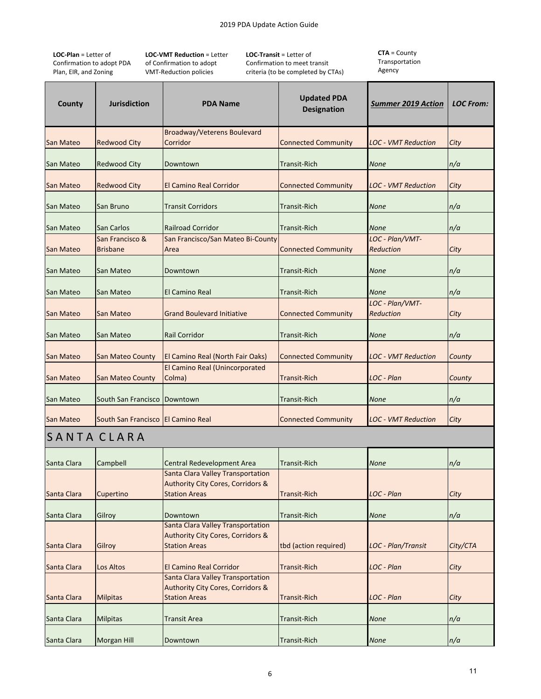**LOC‐Plan** = Letter of Confirmation to adopt PDA Plan, EIR, and Zoning

**LOC‐VMT Reduction** = Letter of Confirmation to adopt VMT‐Reduction policies

**LOC‐Transit** = Letter of Confirmation to meet transit criteria (to be completed by CTAs) **CTA** = County Transportation Agency

| County           | <b>Jurisdiction</b>                | <b>PDA Name</b>                                                                                                  | <b>Updated PDA</b><br><b>Designation</b> | <b>Summer 2019 Action</b>    | <b>LOC From:</b> |
|------------------|------------------------------------|------------------------------------------------------------------------------------------------------------------|------------------------------------------|------------------------------|------------------|
|                  |                                    | <b>Broadway/Veterens Boulevard</b><br>Corridor                                                                   | <b>Connected Community</b>               |                              |                  |
| <b>San Mateo</b> | <b>Redwood City</b>                |                                                                                                                  |                                          | LOC - VMT Reduction          | City             |
| <b>San Mateo</b> | <b>Redwood City</b>                | Downtown                                                                                                         | Transit-Rich                             | <b>None</b>                  | n/a              |
| <b>San Mateo</b> | <b>Redwood City</b>                | El Camino Real Corridor                                                                                          | <b>Connected Community</b>               | LOC - VMT Reduction          | City             |
| San Mateo        | San Bruno                          | <b>Transit Corridors</b>                                                                                         | Transit-Rich                             | <b>None</b>                  | n/a              |
| San Mateo        | San Carlos                         | <b>Railroad Corridor</b>                                                                                         | <b>Transit-Rich</b>                      | <b>None</b>                  | n/a              |
|                  | San Francisco &                    | San Francisco/San Mateo Bi-County                                                                                |                                          | LOC - Plan/VMT-              |                  |
| <b>San Mateo</b> | <b>Brisbane</b>                    | Area                                                                                                             | <b>Connected Community</b>               | <b>Reduction</b>             | City             |
| San Mateo        | San Mateo                          | Downtown                                                                                                         | <b>Transit-Rich</b>                      | <b>None</b>                  | n/a              |
| San Mateo        | San Mateo                          | <b>El Camino Real</b>                                                                                            | <b>Transit-Rich</b>                      | <b>None</b>                  | n/a              |
| <b>San Mateo</b> | San Mateo                          | <b>Grand Boulevard Initiative</b>                                                                                | <b>Connected Community</b>               | LOC - Plan/VMT-<br>Reduction | City             |
| San Mateo        | San Mateo                          | <b>Rail Corridor</b>                                                                                             | <b>Transit-Rich</b>                      | <b>None</b>                  | n/a              |
| <b>San Mateo</b> | San Mateo County                   | El Camino Real (North Fair Oaks)                                                                                 | <b>Connected Community</b>               | <b>LOC - VMT Reduction</b>   | County           |
| <b>San Mateo</b> | <b>San Mateo County</b>            | El Camino Real (Unincorporated<br>Colma)                                                                         | <b>Transit-Rich</b>                      | LOC - Plan                   | County           |
| San Mateo        | South San Francisco                | Downtown                                                                                                         | <b>Transit-Rich</b>                      | <b>None</b>                  | n/a              |
| <b>San Mateo</b> | South San Francisco El Camino Real |                                                                                                                  | <b>Connected Community</b>               | <b>LOC - VMT Reduction</b>   | City             |
| SANTA CLARA      |                                    |                                                                                                                  |                                          |                              |                  |
| Santa Clara      | Campbell                           | Central Redevelopment Area                                                                                       | <b>Transit-Rich</b>                      | <b>None</b>                  | n/a              |
| Santa Clara      | Cupertino                          | <b>Santa Clara Valley Transportation</b><br><b>Authority City Cores, Corridors &amp;</b><br><b>Station Areas</b> | <b>Transit-Rich</b>                      | LOC - Plan                   | City             |
| Santa Clara      | Gilroy                             | Downtown                                                                                                         | <b>Transit-Rich</b>                      | <b>None</b>                  | n/a              |
| Santa Clara      | Gilroy                             | Santa Clara Valley Transportation<br><b>Authority City Cores, Corridors &amp;</b><br><b>Station Areas</b>        | tbd (action required)                    | LOC - Plan/Transit           | City/CTA         |
| Santa Clara      | Los Altos                          | <b>El Camino Real Corridor</b>                                                                                   | <b>Transit-Rich</b>                      | LOC - Plan                   | City             |
| Santa Clara      | <b>Milpitas</b>                    | Santa Clara Valley Transportation<br><b>Authority City Cores, Corridors &amp;</b><br><b>Station Areas</b>        | <b>Transit-Rich</b>                      | LOC - Plan                   | City             |
| Santa Clara      | <b>Milpitas</b>                    | <b>Transit Area</b>                                                                                              | <b>Transit-Rich</b>                      | <b>None</b>                  | n/a              |
| Santa Clara      | Morgan Hill                        | Downtown                                                                                                         | <b>Transit-Rich</b>                      | None                         | n/a              |

6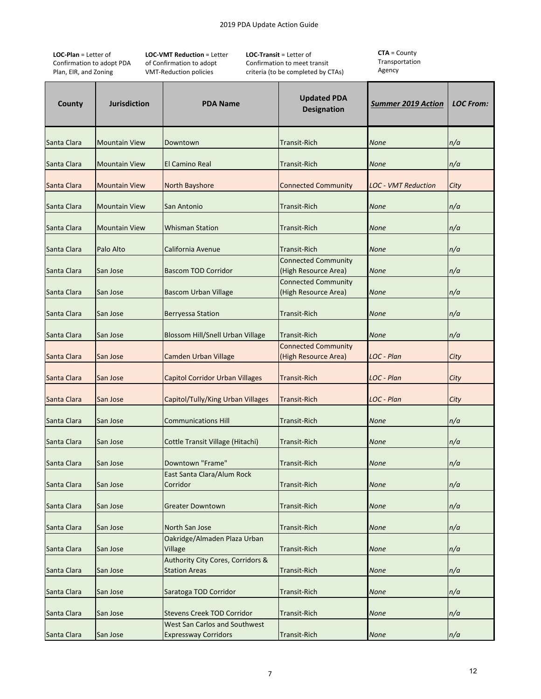**LOC‐Plan** = Letter of Confirmation to adopt PDA Plan, EIR, and Zoning

**LOC‐VMT Reduction** = Letter of Confirmation to adopt VMT‐Reduction policies

**LOC‐Transit** = Letter of Confirmation to meet transit criteria (to be completed by CTAs)

| County      | <b>Jurisdiction</b>  | <b>PDA Name</b>                                                      | <b>Updated PDA</b><br><b>Designation</b>           | <b>Summer 2019 Action</b>  | <b>LOC From:</b> |
|-------------|----------------------|----------------------------------------------------------------------|----------------------------------------------------|----------------------------|------------------|
| Santa Clara | <b>Mountain View</b> | Downtown                                                             | <b>Transit-Rich</b>                                | <b>None</b>                | n/a              |
| Santa Clara | <b>Mountain View</b> | <b>El Camino Real</b>                                                | <b>Transit-Rich</b>                                | <b>None</b>                | n/a              |
| Santa Clara | <b>Mountain View</b> | North Bayshore                                                       | <b>Connected Community</b>                         | <b>LOC - VMT Reduction</b> | City             |
| Santa Clara | <b>Mountain View</b> | San Antonio                                                          | <b>Transit-Rich</b>                                | <b>None</b>                | n/a              |
| Santa Clara | <b>Mountain View</b> | <b>Whisman Station</b>                                               | Transit-Rich                                       | <b>None</b>                | n/a              |
| Santa Clara | Palo Alto            | California Avenue                                                    | Transit-Rich                                       | <b>None</b>                | n/a              |
| Santa Clara | San Jose             | <b>Bascom TOD Corridor</b>                                           | <b>Connected Community</b><br>(High Resource Area) | <b>None</b>                | n/a              |
| Santa Clara | San Jose             | <b>Bascom Urban Village</b>                                          | <b>Connected Community</b><br>(High Resource Area) | <b>None</b>                | n/a              |
| Santa Clara | San Jose             | <b>Berryessa Station</b>                                             | <b>Transit-Rich</b>                                | <b>None</b>                | n/a              |
| Santa Clara | San Jose             | Blossom Hill/Snell Urban Village                                     | <b>Transit-Rich</b>                                | None                       | n/a              |
| Santa Clara | San Jose             | <b>Camden Urban Village</b>                                          | <b>Connected Community</b><br>(High Resource Area) | LOC - Plan                 | City             |
| Santa Clara | San Jose             | <b>Capitol Corridor Urban Villages</b>                               | <b>Transit-Rich</b>                                | LOC - Plan                 | City             |
| Santa Clara | San Jose             | Capitol/Tully/King Urban Villages                                    | <b>Transit-Rich</b>                                | LOC - Plan                 | City             |
| Santa Clara | San Jose             | <b>Communications Hill</b>                                           | <b>Transit-Rich</b>                                | <b>None</b>                | n/a              |
| Santa Clara | San Jose             | Cottle Transit Village (Hitachi)                                     | <b>Transit-Rich</b>                                | <b>None</b>                | n/a              |
| Santa Clara | San Jose             | Downtown "Frame"                                                     | <b>Transit-Rich</b>                                | None                       | n/a              |
| Santa Clara | San Jose             | East Santa Clara/Alum Rock<br>Corridor                               | <b>Transit-Rich</b>                                | <b>None</b>                | n/a              |
| Santa Clara | San Jose             | <b>Greater Downtown</b>                                              | <b>Transit-Rich</b>                                | <b>None</b>                | n/a              |
| Santa Clara | San Jose             | <b>North San Jose</b>                                                | <b>Transit-Rich</b>                                | <b>None</b>                | n/a              |
| Santa Clara | San Jose             | Oakridge/Almaden Plaza Urban<br>Village                              | <b>Transit-Rich</b>                                | <b>None</b>                | n/a              |
| Santa Clara | San Jose             | <b>Authority City Cores, Corridors &amp;</b><br><b>Station Areas</b> | <b>Transit-Rich</b>                                | None                       | n/a              |
| Santa Clara | San Jose             | Saratoga TOD Corridor                                                | <b>Transit-Rich</b>                                | None                       | n/a              |
| Santa Clara | San Jose             | <b>Stevens Creek TOD Corridor</b>                                    | <b>Transit-Rich</b>                                | None                       | n/a              |
| Santa Clara | San Jose             | West San Carlos and Southwest<br><b>Expressway Corridors</b>         | <b>Transit-Rich</b>                                | <b>None</b>                | n/a              |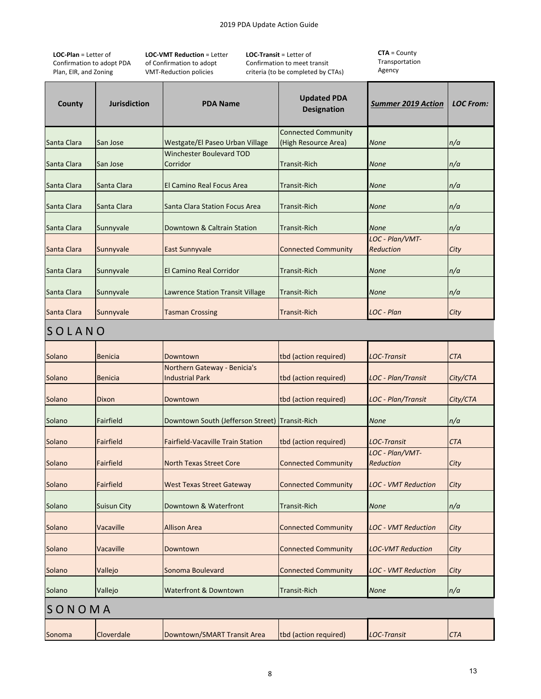**LOC‐Plan** = Letter of Confirmation to adopt PDA Plan, EIR, and Zoning

**LOC‐VMT Reduction** = Letter of Confirmation to adopt VMT‐Reduction policies

**LOC‐Transit** = Letter of Confirmation to meet transit criteria (to be completed by CTAs)

| County      | <b>Jurisdiction</b> | <b>PDA Name</b>                                | <b>Updated PDA</b><br><b>Designation</b> | <b>Summer 2019 Action</b>           | <b>LOC From:</b> |
|-------------|---------------------|------------------------------------------------|------------------------------------------|-------------------------------------|------------------|
|             |                     |                                                | <b>Connected Community</b>               |                                     |                  |
| Santa Clara | San Jose            | Westgate/El Paseo Urban Village                | (High Resource Area)                     | None                                | n/a              |
| Santa Clara | San Jose            | <b>Winchester Boulevard TOD</b><br>Corridor    | <b>Transit-Rich</b>                      | None                                | n/a              |
| Santa Clara | Santa Clara         | El Camino Real Focus Area                      | <b>Transit-Rich</b>                      | None                                | n/a              |
| Santa Clara | Santa Clara         | Santa Clara Station Focus Area                 | <b>Transit-Rich</b>                      | None                                | n/a              |
| Santa Clara | Sunnyvale           | Downtown & Caltrain Station                    | <b>Transit-Rich</b>                      | None                                | n/a              |
|             |                     |                                                |                                          | LOC - Plan/VMT-                     |                  |
| Santa Clara | Sunnyvale           | East Sunnyvale                                 | <b>Connected Community</b>               | <b>Reduction</b>                    | City             |
| Santa Clara | Sunnyvale           | <b>El Camino Real Corridor</b>                 | <b>Transit-Rich</b>                      | <b>None</b>                         | n/a              |
| Santa Clara | Sunnyvale           | Lawrence Station Transit Village               | <b>Transit-Rich</b>                      | None                                | n/a              |
| Santa Clara | Sunnyvale           | <b>Tasman Crossing</b>                         | <b>Transit-Rich</b>                      | LOC - Plan                          | City             |
| SOLANO      |                     |                                                |                                          |                                     |                  |
| Solano      | <b>Benicia</b>      | Downtown                                       | tbd (action required)                    | <b>LOC-Transit</b>                  | <b>CTA</b>       |
|             |                     | Northern Gateway - Benicia's                   |                                          |                                     |                  |
| Solano      | <b>Benicia</b>      | <b>Industrial Park</b>                         | tbd (action required)                    | LOC - Plan/Transit                  | City/CTA         |
| Solano      | Dixon               | Downtown                                       | tbd (action required)                    | LOC - Plan/Transit                  | City/CTA         |
| Solano      | Fairfield           | Downtown South (Jefferson Street) Transit-Rich |                                          | None                                | n/a              |
| Solano      | <b>Fairfield</b>    | <b>Fairfield-Vacaville Train Station</b>       | tbd (action required)                    | <b>LOC-Transit</b>                  | <b>CTA</b>       |
| Solano      | Fairfield           | <b>North Texas Street Core</b>                 | <b>Connected Community</b>               | LOC - Plan/VMT-<br><b>Reduction</b> | City             |
| Solano      | <b>Fairfield</b>    | <b>West Texas Street Gateway</b>               | <b>Connected Community</b>               | <b>LOC - VMT Reduction</b>          | City             |
| Solano      | <b>Suisun City</b>  | Downtown & Waterfront                          | <b>Transit-Rich</b>                      | <b>None</b>                         | n/a              |
| Solano      | Vacaville           | <b>Allison Area</b>                            | <b>Connected Community</b>               | LOC - VMT Reduction                 | City             |
| Solano      | Vacaville           | Downtown                                       | <b>Connected Community</b>               | <b>LOC-VMT Reduction</b>            | City             |
| Solano      | Vallejo             | Sonoma Boulevard                               | <b>Connected Community</b>               | <b>LOC - VMT Reduction</b>          | City             |
| Solano      | Vallejo             | <b>Waterfront &amp; Downtown</b>               | <b>Transit-Rich</b>                      | <b>None</b>                         | n/a              |
| SONOMA      |                     |                                                |                                          |                                     |                  |
|             |                     |                                                |                                          |                                     |                  |
| Sonoma      | Cloverdale          | Downtown/SMART Transit Area                    | tbd (action required)                    | <b>LOC-Transit</b>                  | <b>CTA</b>       |